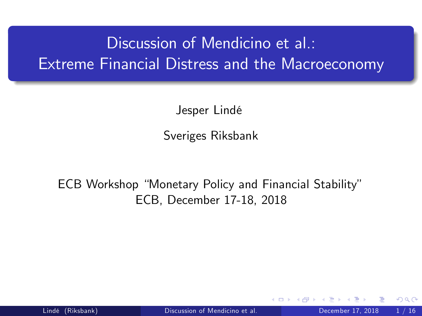# Discussion of Mendicino et al.: Extreme Financial Distress and the Macroeconomy

Jesper Lindé

<span id="page-0-0"></span>Sveriges Riksbank

ECB Workshop "Monetary Policy and Financial Stability" ECB, December 17-18, 2018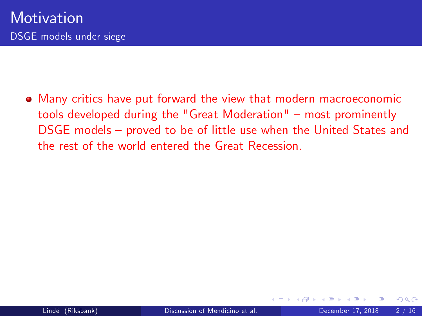Many critics have put forward the view that modern macroeconomic tools developed during the "Great Moderation"  $-$  most prominently DSGE models – proved to be of little use when the United States and the rest of the world entered the Great Recession.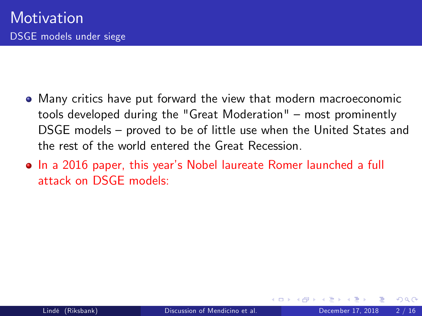- Many critics have put forward the view that modern macroeconomic tools developed during the "Great Moderation"  $-$  most prominently DSGE models – proved to be of little use when the United States and the rest of the world entered the Great Recession.
- In a 2016 paper, this year's Nobel laureate Romer launched a full attack on DSGE models: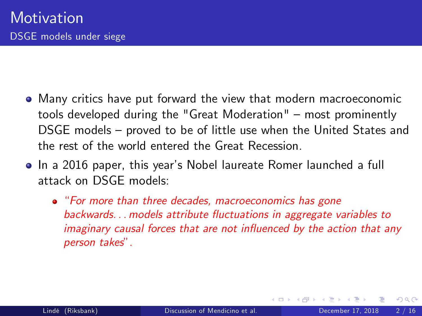- Many critics have put forward the view that modern macroeconomic tools developed during the "Great Moderation"  $-$  most prominently DSGE models – proved to be of little use when the United States and the rest of the world entered the Great Recession.
- In a 2016 paper, this year's Nobel laureate Romer launched a full attack on DSGE models:
	- "For more than three decades, macroeconomics has gone backwards... models attribute fluctuations in aggregate variables to imaginary causal forces that are not influenced by the action that any person takes".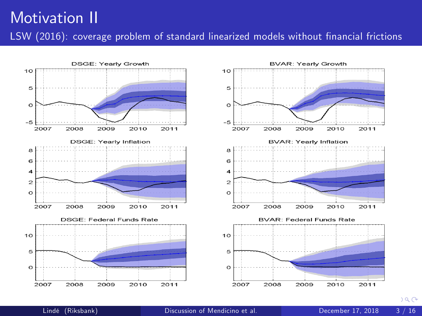### Motivation II LSW (2016): coverage problem of standard linearized models without financial frictions





 $a^{\alpha}$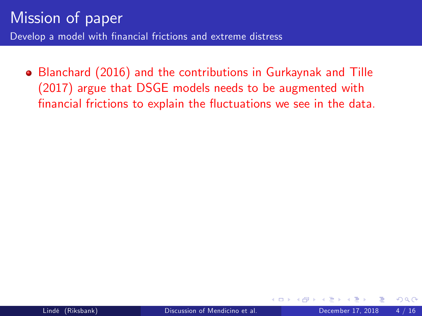Blanchard (2016) and the contributions in Gurkaynak and Tille (2017) argue that DSGE models needs to be augmented with financial frictions to explain the fluctuations we see in the data.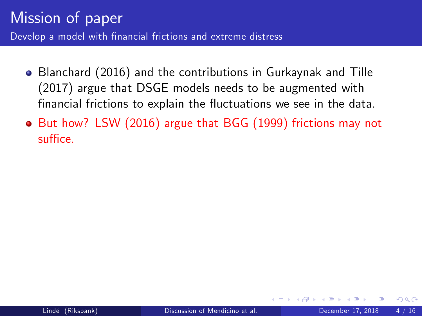- Blanchard (2016) and the contributions in Gurkaynak and Tille (2017) argue that DSGE models needs to be augmented with financial frictions to explain the fluctuations we see in the data.
- But how? LSW (2016) argue that BGG (1999) frictions may not suffice.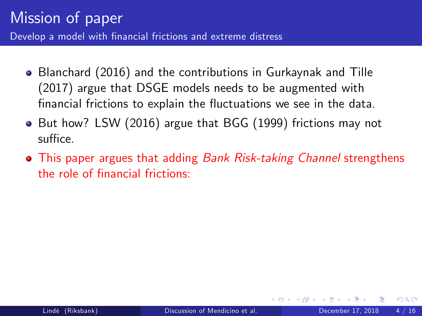- Blanchard (2016) and the contributions in Gurkaynak and Tille (2017) argue that DSGE models needs to be augmented with financial frictions to explain the fluctuations we see in the data.
- But how? LSW (2016) argue that BGG (1999) frictions may not suffice.
- This paper argues that adding *Bank Risk-taking Channel* strengthens the role of financial frictions: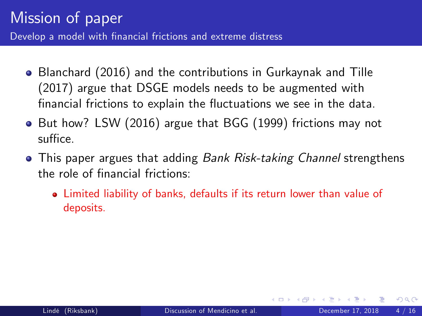- Blanchard (2016) and the contributions in Gurkaynak and Tille (2017) argue that DSGE models needs to be augmented with financial frictions to explain the fluctuations we see in the data.
- But how? LSW (2016) argue that BGG (1999) frictions may not suffice.
- This paper argues that adding *Bank Risk-taking Channel* strengthens the role of financial frictions:
	- Limited liability of banks, defaults if its return lower than value of deposits.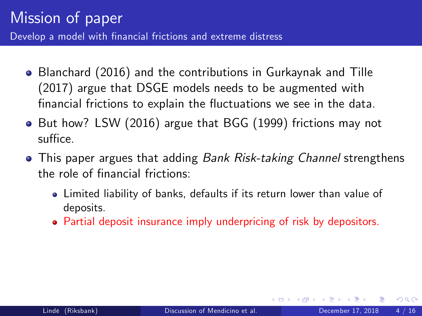- Blanchard (2016) and the contributions in Gurkaynak and Tille (2017) argue that DSGE models needs to be augmented with financial frictions to explain the fluctuations we see in the data.
- But how? LSW (2016) argue that BGG (1999) frictions may not suffice.
- This paper argues that adding *Bank Risk-taking Channel* strengthens the role of financial frictions:
	- Limited liability of banks, defaults if its return lower than value of deposits.
	- Partial deposit insurance imply underpricing of risk by depositors.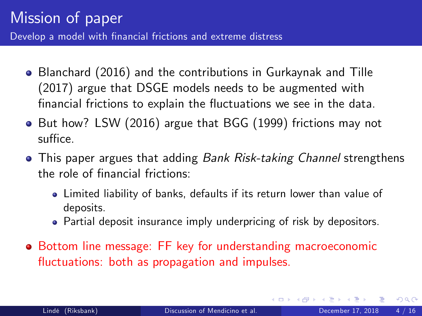- Blanchard (2016) and the contributions in Gurkaynak and Tille (2017) argue that DSGE models needs to be augmented with financial frictions to explain the fluctuations we see in the data.
- But how? LSW (2016) argue that BGG (1999) frictions may not suffice.
- This paper argues that adding *Bank Risk-taking Channel* strengthens the role of financial frictions:
	- Limited liability of banks, defaults if its return lower than value of deposits.
	- Partial deposit insurance imply underpricing of risk by depositors.
- Bottom line message: FF key for understanding macroeconomic fluctuations: both as propagation and impulses.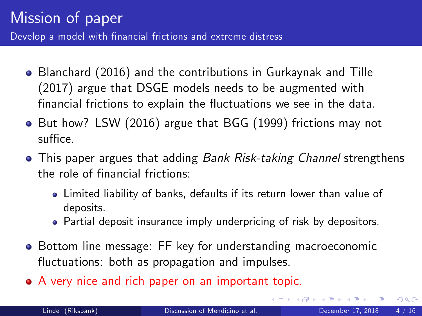- Blanchard (2016) and the contributions in Gurkaynak and Tille (2017) argue that DSGE models needs to be augmented with financial frictions to explain the fluctuations we see in the data.
- But how? LSW (2016) argue that BGG (1999) frictions may not suffice.
- This paper argues that adding Bank Risk-taking Channel strengthens the role of financial frictions:
	- Limited liability of banks, defaults if its return lower than value of deposits.
	- Partial deposit insurance imply underpricing of risk by depositors.
- Bottom line message: FF key for understanding macroeconomic fluctuations: both as propagation and impulses.
- A very nice and rich paper on an important topic.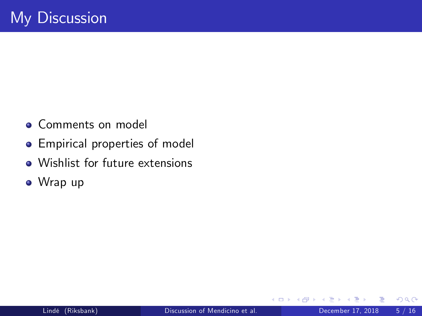- **Comments on model**
- Empirical properties of model
- Wishlist for future extensions
- Wrap up

 $\leftarrow$ 

 $QQ$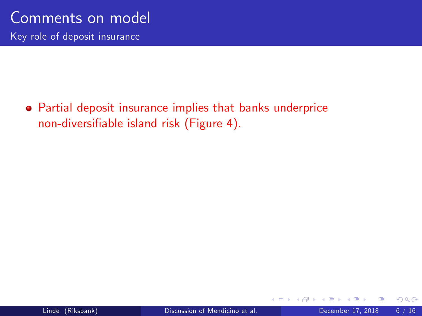Partial deposit insurance implies that banks underprice non-diversifiable island risk (Figure 4).

4 0 8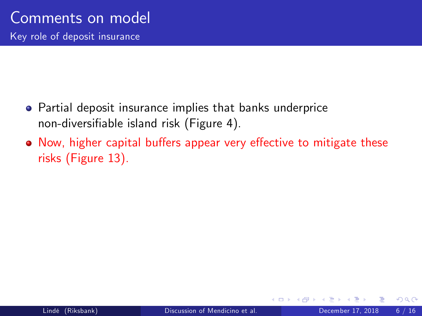- Partial deposit insurance implies that banks underprice non-diversifiable island risk (Figure 4).
- Now, higher capital buffers appear very effective to mitigate these risks (Figure 13).

 $\leftarrow$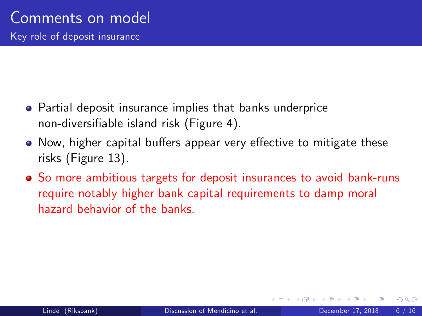- Partial deposit insurance implies that banks underprice non-diversifiable island risk (Figure 4).
- Now, higher capital buffers appear very effective to mitigate these risks (Figure 13).
- So more ambitious targets for deposit insurances to avoid bank-runs require notably higher bank capital requirements to damp moral hazard behavior of the banks.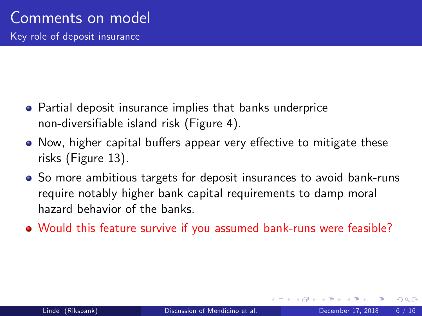- Partial deposit insurance implies that banks underprice non-diversifiable island risk (Figure 4).
- Now, higher capital buffers appear very effective to mitigate these risks (Figure 13).
- So more ambitious targets for deposit insurances to avoid bank-runs require notably higher bank capital requirements to damp moral hazard behavior of the banks.
- Would this feature survive if you assumed bank-runs were feasible?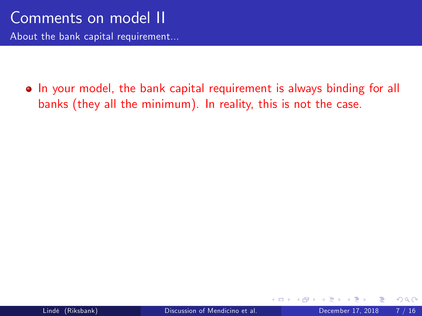• In your model, the bank capital requirement is always binding for all banks (they all the minimum). In reality, this is not the case.

4 D F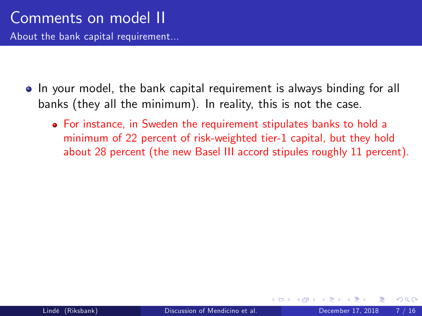About the bank capital requirement...

- In your model, the bank capital requirement is always binding for all banks (they all the minimum). In reality, this is not the case.
	- For instance, in Sweden the requirement stipulates banks to hold a minimum of 22 percent of risk-weighted tier-1 capital, but they hold about 28 percent (the new Basel III accord stipules roughly 11 percent).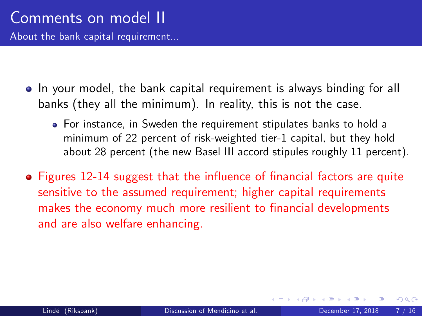About the bank capital requirement...

- In your model, the bank capital requirement is always binding for all banks (they all the minimum). In reality, this is not the case.
	- For instance, in Sweden the requirement stipulates banks to hold a minimum of 22 percent of risk-weighted tier-1 capital, but they hold about 28 percent (the new Basel III accord stipules roughly 11 percent).
- Figures 12-14 suggest that the influence of financial factors are quite sensitive to the assumed requirement; higher capital requirements makes the economy much more resilient to financial developments and are also welfare enhancing.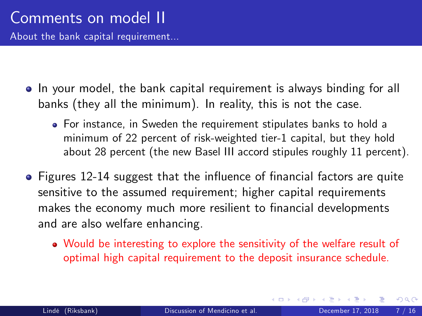About the bank capital requirement...

- In your model, the bank capital requirement is always binding for all banks (they all the minimum). In reality, this is not the case.
	- For instance, in Sweden the requirement stipulates banks to hold a minimum of 22 percent of risk-weighted tier-1 capital, but they hold about 28 percent (the new Basel III accord stipules roughly 11 percent).
- $\bullet$  Figures 12-14 suggest that the influence of financial factors are quite sensitive to the assumed requirement; higher capital requirements makes the economy much more resilient to financial developments and are also welfare enhancing.
	- Would be interesting to explore the sensitivity of the welfare result of optimal high capital requirement to the deposit insurance schedule.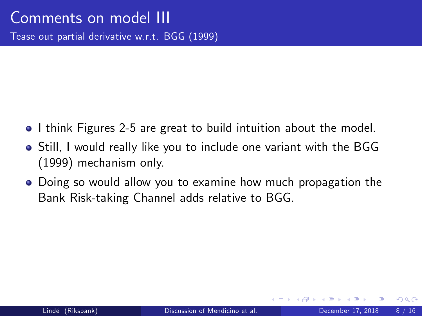- I think Figures 2-5 are great to build intuition about the model.
- Still, I would really like you to include one variant with the BGG (1999) mechanism only.
- Doing so would allow you to examine how much propagation the Bank Risk-taking Channel adds relative to BGG.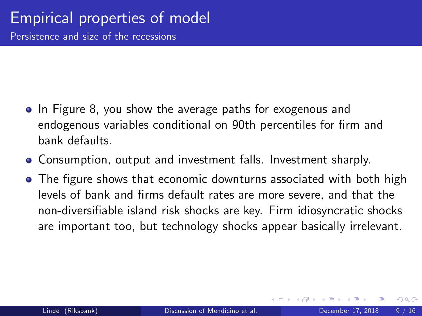- In Figure 8, you show the average paths for exogenous and endogenous variables conditional on 90th percentiles for firm and bank defaults.
- Consumption, output and investment falls. Investment sharply.
- The figure shows that economic downturns associated with both high levels of bank and Örms default rates are more severe, and that the non-diversifiable island risk shocks are key. Firm idiosyncratic shocks are important too, but technology shocks appear basically irrelevant.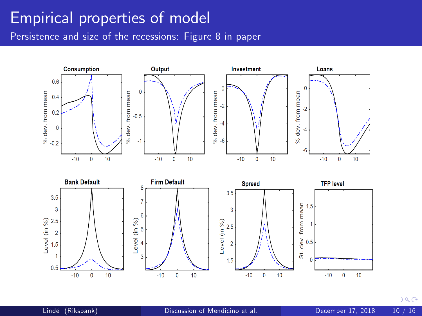### Empirical properties of model

Persistence and size of the recessions: Figure 8 in paper

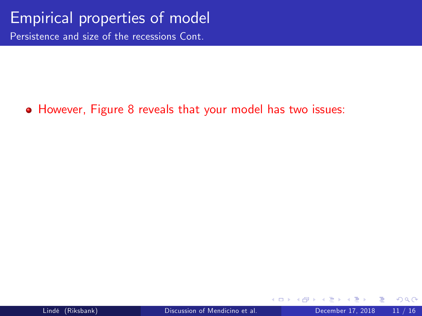### Empirical properties of model

Persistence and size of the recessions Cont.

#### However, Figure 8 reveals that your model has two issues:

 $\leftarrow$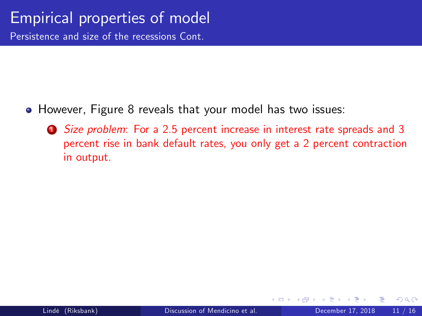Persistence and size of the recessions Cont.

- However, Figure 8 reveals that your model has two issues:
	- **1** Size problem: For a 2.5 percent increase in interest rate spreads and 3 percent rise in bank default rates, you only get a 2 percent contraction in output.

4 D F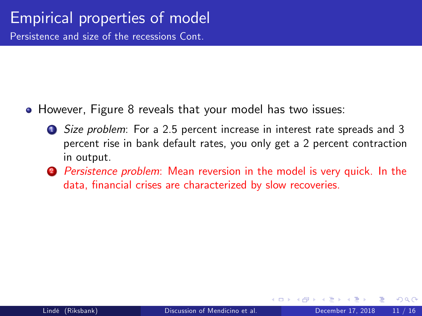Persistence and size of the recessions Cont.

- However, Figure 8 reveals that your model has two issues:
	- **1** Size problem: For a 2.5 percent increase in interest rate spreads and 3 percent rise in bank default rates, you only get a 2 percent contraction in output.
	- 2 Persistence problem: Mean reversion in the model is very quick. In the data, financial crises are characterized by slow recoveries.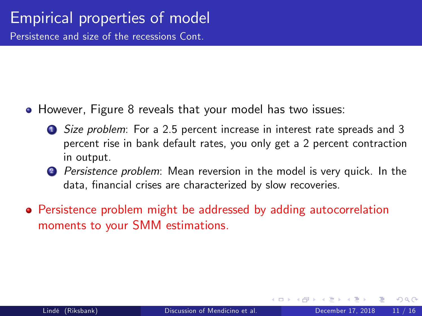Persistence and size of the recessions Cont.

- However, Figure 8 reveals that your model has two issues:
	- **1** Size problem: For a 2.5 percent increase in interest rate spreads and 3 percent rise in bank default rates, you only get a 2 percent contraction in output.
	- 2 *Persistence problem*: Mean reversion in the model is very quick. In the data, financial crises are characterized by slow recoveries.
- Persistence problem might be addressed by adding autocorrelation moments to your SMM estimations.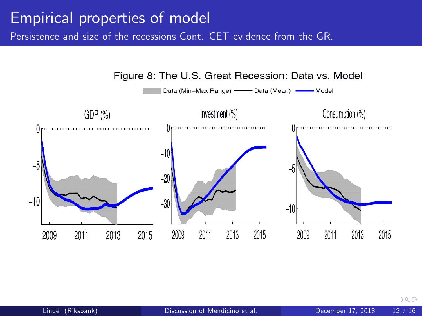## Empirical properties of model

Persistence and size of the recessions Cont. CET evidence from the GR.



<span id="page-28-0"></span> $a \alpha$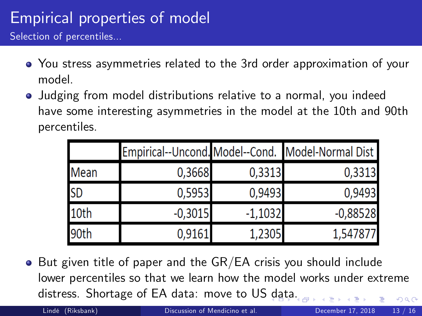## Empirical properties of model

Selection of percentiles...

- You stress asymmetries related to the 3rd order approximation of your model.
- Judging from model distributions relative to a normal, you indeed have some interesting asymmetries in the model at the 10th and 90th percentiles.

|             |           |           | Empirical--Uncond. Model--Cond. Model-Normal Dist |
|-------------|-----------|-----------|---------------------------------------------------|
| <b>Mean</b> | 0,3668    | 0,3313    | 0,3313                                            |
| <b>SD</b>   | 0,5953    | 0,9493    | 0,9493                                            |
| 10th        | $-0,3015$ | $-1,1032$ | $-0,88528$                                        |
| 90th        | 0,9161    | 1,2305    | 1,547877                                          |

 $\bullet$  But given title of paper and the GR/EA crisis you should include lower percentiles so that we learn how the model works under extreme distress. Shortage of EA data: move to US [da](#page-28-0)[ta](#page-30-0)[.](#page-28-0)  $\Omega$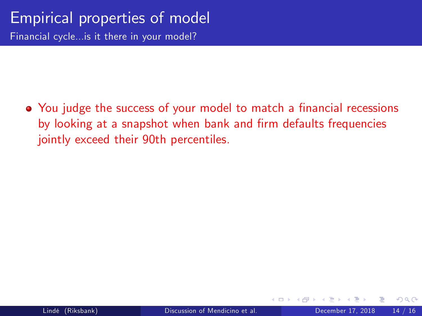<span id="page-30-0"></span>• You judge the success of your model to match a financial recessions by looking at a snapshot when bank and firm defaults frequencies jointly exceed their 90th percentiles.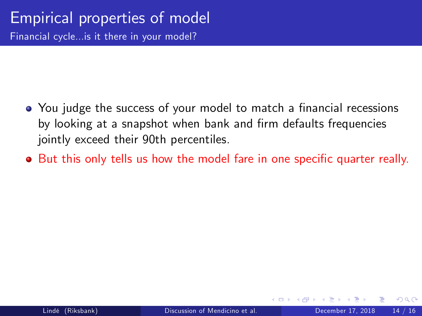- You judge the success of your model to match a financial recessions by looking at a snapshot when bank and firm defaults frequencies jointly exceed their 90th percentiles.
- **•** But this only tells us how the model fare in one specific quarter really.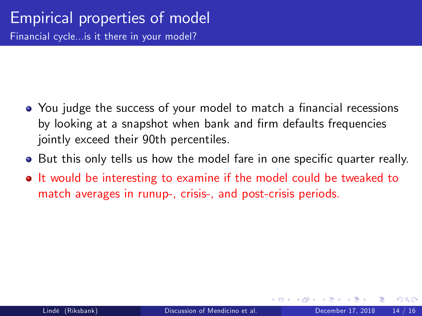- You judge the success of your model to match a financial recessions by looking at a snapshot when bank and firm defaults frequencies jointly exceed their 90th percentiles.
- **But this only tells us how the model fare in one specific quarter really.**
- It would be interesting to examine if the model could be tweaked to match averages in runup-, crisis-, and post-crisis periods.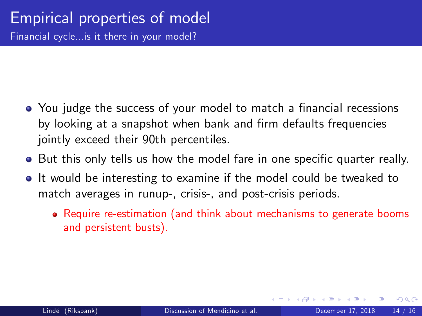- You judge the success of your model to match a financial recessions by looking at a snapshot when bank and firm defaults frequencies jointly exceed their 90th percentiles.
- **But this only tells us how the model fare in one specific quarter really.**
- **It would be interesting to examine if the model could be tweaked to** match averages in runup-, crisis-, and post-crisis periods.
	- Require re-estimation (and think about mechanisms to generate booms and persistent busts).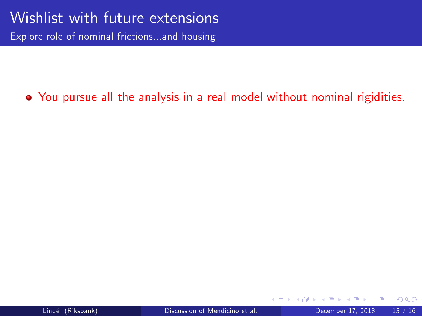Explore role of nominal frictions...and housing

### You pursue all the analysis in a real model without nominal rigidities.

 $\leftarrow$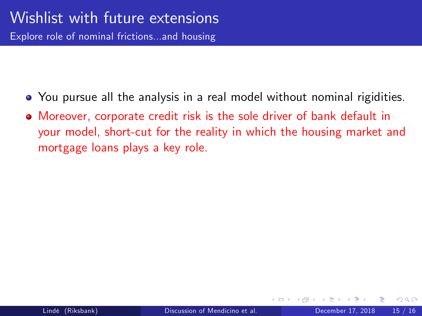- You pursue all the analysis in a real model without nominal rigidities.
- Moreover, corporate credit risk is the sole driver of bank default in your model, short-cut for the reality in which the housing market and mortgage loans plays a key role.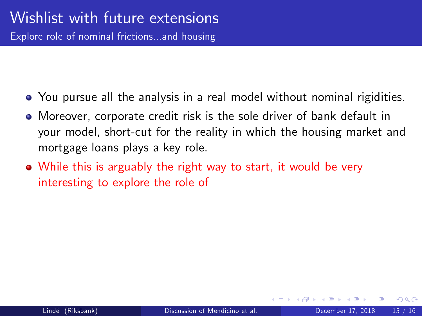- You pursue all the analysis in a real model without nominal rigidities.
- Moreover, corporate credit risk is the sole driver of bank default in your model, short-cut for the reality in which the housing market and mortgage loans plays a key role.
- While this is arguably the right way to start, it would be very interesting to explore the role of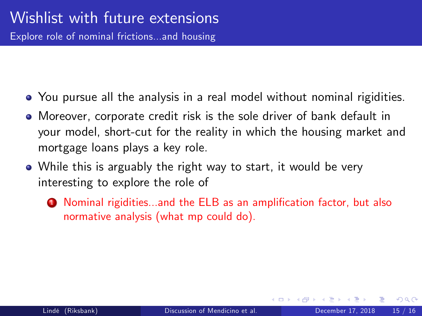- You pursue all the analysis in a real model without nominal rigidities.
- Moreover, corporate credit risk is the sole driver of bank default in your model, short-cut for the reality in which the housing market and mortgage loans plays a key role.
- While this is arguably the right way to start, it would be very interesting to explore the role of
	- **1** Nominal rigidities...and the ELB as an amplification factor, but also normative analysis (what mp could do).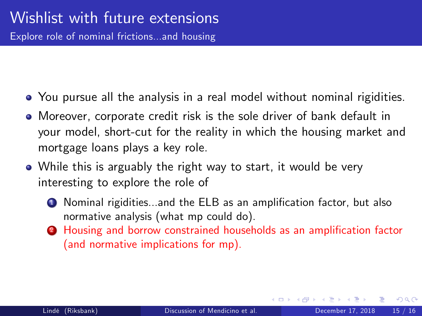- You pursue all the analysis in a real model without nominal rigidities.
- Moreover, corporate credit risk is the sole driver of bank default in your model, short-cut for the reality in which the housing market and mortgage loans plays a key role.
- While this is arguably the right way to start, it would be very interesting to explore the role of
	- **1** Nominal rigidities...and the ELB as an amplification factor, but also normative analysis (what mp could do).
	- 2 Housing and borrow constrained households as an amplification factor (and normative implications for mp).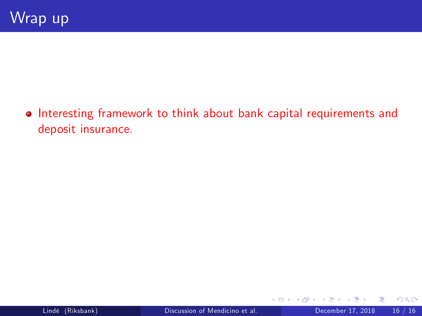• Interesting framework to think about bank capital requirements and deposit insurance.

4 D F ∢母 э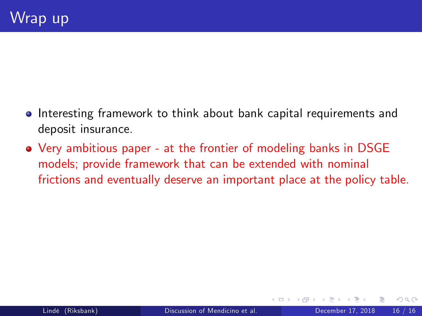- **•** Interesting framework to think about bank capital requirements and deposit insurance.
- Very ambitious paper at the frontier of modeling banks in DSGE models; provide framework that can be extended with nominal frictions and eventually deserve an important place at the policy table.